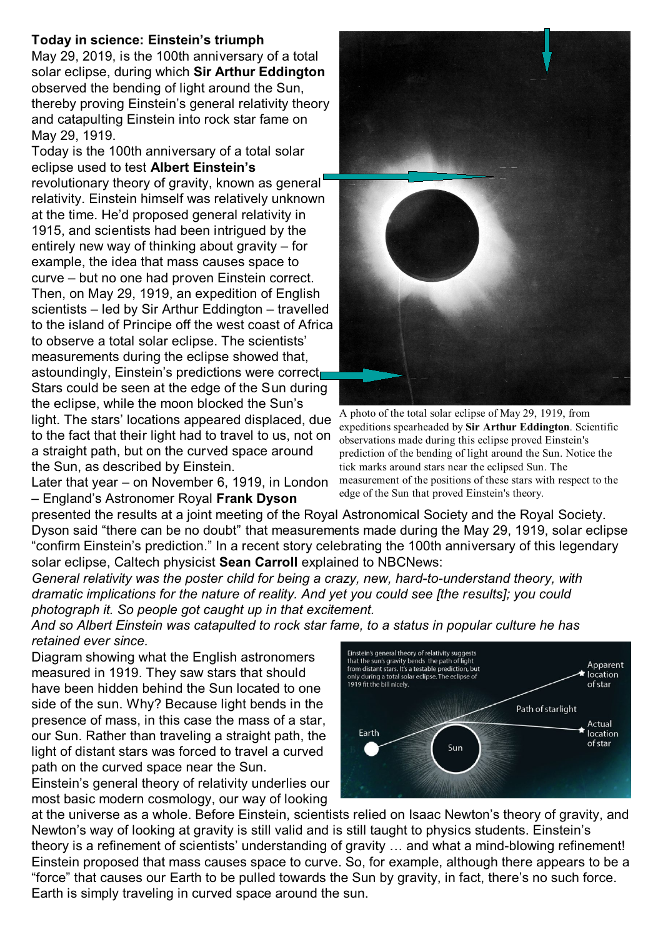## **Today in science: Einstein's triumph**

May 29, 2019, is the 100th anniversary of a total solar eclipse, during which **Sir Arthur Eddington** observed the bending of light around the Sun, thereby proving Einstein's general relativity theory and catapulting Einstein into rock star fame on May 29, 1919.

Today is the 100th anniversary of a total solar eclipse used to test **Albert Einstein's** revolutionary theory of gravity, known as general relativity. Einstein himself was relatively unknown at the time. He'd proposed general relativity in 1915, and scientists had been intrigued by the entirely new way of thinking about gravity – for example, the idea that mass causes space to curve – but no one had proven Einstein correct. Then, on May 29, 1919, an expedition of English scientists – led by Sir Arthur Eddington – travelled to the island of Principe off the west coast of Africa to observe a total solar eclipse. The scientists' measurements during the eclipse showed that, astoundingly, Einstein's predictions were correct. Stars could be seen at the edge of the Sun during the eclipse, while the moon blocked the Sun's light. The stars' locations appeared displaced, due to the fact that their light had to travel to us, not on a straight path, but on the curved space around the Sun, as described by Einstein.

Later that year – on November 6, 1919, in London – England's Astronomer Royal **Frank Dyson**



A photo of the total solar eclipse of May 29, 1919, from expeditions spearheaded by **Sir Arthur Eddington**. Scientific observations made during this eclipse proved Einstein's prediction of the bending of light around the Sun. Notice the tick marks around stars near the eclipsed Sun. The measurement of the positions of these stars with respect to the edge of the Sun that proved Einstein's theory.

presented the results at a joint meeting of the Royal Astronomical Society and the Royal Society. Dyson said "there can be no doubt" that measurements made during the May 29, 1919, solar eclipse "confirm Einstein's prediction." In a recent story celebrating the 100th anniversary of this legendary solar eclipse, Caltech physicist **Sean Carroll** explained to NBCNews:

*General relativity was the poster child for being a crazy, new, hard-to-understand theory, with dramatic implications for the nature of reality. And yet you could see [the results]; you could photograph it. So people got caught up in that excitement.*

*And so Albert Einstein was catapulted to rock star fame, to a status in popular culture he has retained ever since.*

Diagram showing what the English astronomers measured in 1919. They saw stars that should have been hidden behind the Sun located to one side of the sun. Why? Because light bends in the presence of mass, in this case the mass of a star, our Sun. Rather than traveling a straight path, the light of distant stars was forced to travel a curved path on the curved space near the Sun.

Einstein's general theory of relativity underlies our most basic modern cosmology, our way of looking



at the universe as a whole. Before Einstein, scientists relied on Isaac Newton's theory of gravity, and Newton's way of looking at gravity is still valid and is still taught to physics students. Einstein's theory is a refinement of scientists' understanding of gravity … and what a mind-blowing refinement! Einstein proposed that mass causes space to curve. So, for example, although there appears to be a "force" that causes our Earth to be pulled towards the Sun by gravity, in fact, there's no such force. Earth is simply traveling in curved space around the sun.